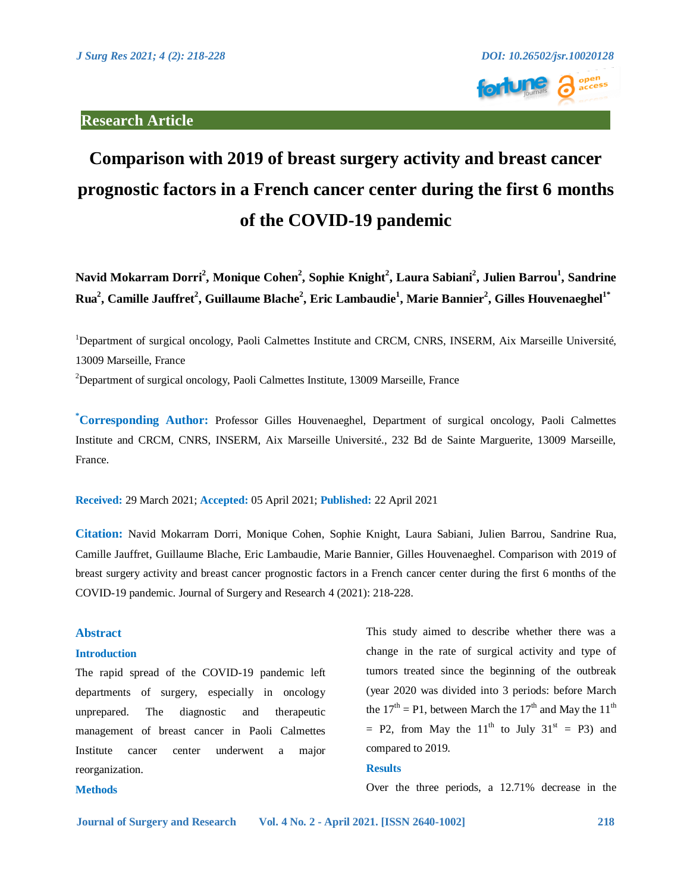

# **Comparison with 2019 of breast surgery activity and breast cancer prognostic factors in a French cancer center during the first 6 months of the COVID-19 pandemic**

**Navid Mokarram Dorri2 , Monique Cohen2 , Sophie Knight<sup>2</sup> , Laura Sabiani2 , Julien Barrou1 , Sandrine**   $\mathbf{R}$ ua<sup>2</sup>, Camille Jauffret<sup>2</sup>, Guillaume Blache<sup>2</sup>, Eric Lambaudie<sup>1</sup>, Marie Bannier<sup>2</sup>, Gilles Houvenaeghel<sup>1\*</sup>

<sup>1</sup>Department of surgical oncology, Paoli Calmettes Institute and CRCM, CNRS, INSERM, Aix Marseille Université, 13009 Marseille, France

<sup>2</sup>Department of surgical oncology, Paoli Calmettes Institute, 13009 Marseille, France

**\* Corresponding Author:** Professor Gilles Houvenaeghel, Department of surgical oncology, Paoli Calmettes Institute and CRCM, CNRS, INSERM, Aix Marseille Université., 232 Bd de Sainte Marguerite, 13009 Marseille, France.

**Received:** 29 March 2021; **Accepted:** 05 April 2021; **Published:** 22 April 2021

**Citation:** Navid Mokarram Dorri, Monique Cohen, Sophie Knight, Laura Sabiani, Julien Barrou, Sandrine Rua, Camille Jauffret, Guillaume Blache, Eric Lambaudie, Marie Bannier, Gilles Houvenaeghel. Comparison with 2019 of breast surgery activity and breast cancer prognostic factors in a French cancer center during the first 6 months of the COVID-19 pandemic. Journal of Surgery and Research 4 (2021): 218-228.

# **Abstract**

**Methods** 

# **Introduction**

The rapid spread of the COVID-19 pandemic left departments of surgery, especially in oncology unprepared. The diagnostic and therapeutic management of breast cancer in Paoli Calmettes Institute cancer center underwent a major reorganization.

This study aimed to describe whether there was a change in the rate of surgical activity and type of tumors treated since the beginning of the outbreak (year 2020 was divided into 3 periods: before March the  $17<sup>th</sup> = P1$ , between March the  $17<sup>th</sup>$  and May the  $11<sup>th</sup>$  $=$  P2, from May the 11<sup>th</sup> to July 31<sup>st</sup>  $=$  P3) and compared to 2019.

# **Results**

Over the three periods, a 12.71% decrease in the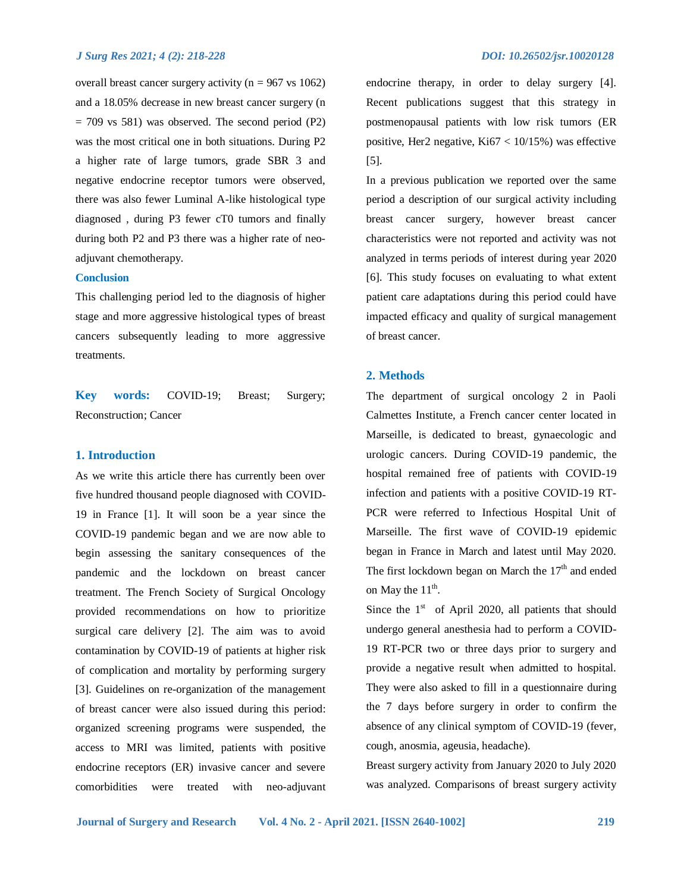overall breast cancer surgery activity ( $n = 967$  vs 1062) and a 18.05% decrease in new breast cancer surgery (n  $= 709$  vs 581) was observed. The second period (P2) was the most critical one in both situations. During P2 a higher rate of large tumors, grade SBR 3 and negative endocrine receptor tumors were observed, there was also fewer Luminal A-like histological type diagnosed , during P3 fewer cT0 tumors and finally during both P2 and P3 there was a higher rate of neoadjuvant chemotherapy.

# **Conclusion**

This challenging period led to the diagnosis of higher stage and more aggressive histological types of breast cancers subsequently leading to more aggressive treatments.

**Key words:** COVID-19; Breast; Surgery; Reconstruction; Cancer

# **1. Introduction**

As we write this article there has currently been over five hundred thousand people diagnosed with COVID-19 in France [1]. It will soon be a year since the COVID-19 pandemic began and we are now able to begin assessing the sanitary consequences of the pandemic and the lockdown on breast cancer treatment. The French Society of Surgical Oncology provided recommendations on how to prioritize surgical care delivery [2]. The aim was to avoid contamination by COVID-19 of patients at higher risk of complication and mortality by performing surgery [3]. Guidelines on re-organization of the management of breast cancer were also issued during this period: organized screening programs were suspended, the access to MRI was limited, patients with positive endocrine receptors (ER) invasive cancer and severe comorbidities were treated with neo-adjuvant endocrine therapy, in order to delay surgery [4]. Recent publications suggest that this strategy in postmenopausal patients with low risk tumors (ER positive, Her2 negative, Ki67 < 10/15%) was effective [5].

In a previous publication we reported over the same period a description of our surgical activity including breast cancer surgery, however breast cancer characteristics were not reported and activity was not analyzed in terms periods of interest during year 2020 [6]. This study focuses on evaluating to what extent patient care adaptations during this period could have impacted efficacy and quality of surgical management of breast cancer.

# **2. Methods**

The department of surgical oncology 2 in Paoli Calmettes Institute, a French cancer center located in Marseille, is dedicated to breast, gynaecologic and urologic cancers. During COVID-19 pandemic, the hospital remained free of patients with COVID-19 infection and patients with a positive COVID-19 RT-PCR were referred to Infectious Hospital Unit of Marseille. The first wave of COVID-19 epidemic began in France in March and latest until May 2020. The first lockdown began on March the  $17<sup>th</sup>$  and ended on May the  $11^{\text{th}}$ .

Since the  $1<sup>st</sup>$  of April 2020, all patients that should undergo general anesthesia had to perform a COVID-19 RT-PCR two or three days prior to surgery and provide a negative result when admitted to hospital. They were also asked to fill in a questionnaire during the 7 days before surgery in order to confirm the absence of any clinical symptom of COVID-19 (fever, cough, anosmia, ageusia, headache).

Breast surgery activity from January 2020 to July 2020 was analyzed. Comparisons of breast surgery activity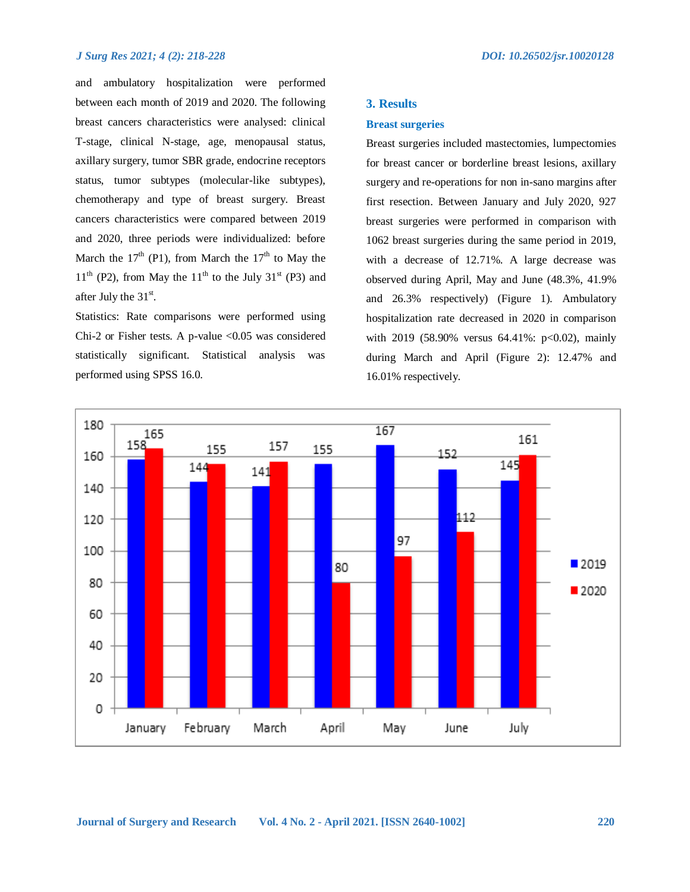and ambulatory hospitalization were performed between each month of 2019 and 2020. The following breast cancers characteristics were analysed: clinical T-stage, clinical N-stage, age, menopausal status, axillary surgery, tumor SBR grade, endocrine receptors status, tumor subtypes (molecular-like subtypes), chemotherapy and type of breast surgery. Breast cancers characteristics were compared between 2019 and 2020, three periods were individualized: before March the  $17<sup>th</sup>$  (P1), from March the  $17<sup>th</sup>$  to May the  $11<sup>th</sup>$  (P2), from May the  $11<sup>th</sup>$  to the July 31<sup>st</sup> (P3) and after July the  $31<sup>st</sup>$ .

Statistics: Rate comparisons were performed using Chi-2 or Fisher tests. A p-value <0.05 was considered statistically significant. Statistical analysis was performed using SPSS 16.0.

# **3. Results**

# **Breast surgeries**

Breast surgeries included mastectomies, lumpectomies for breast cancer or borderline breast lesions, axillary surgery and re-operations for non in-sano margins after first resection. Between January and July 2020, 927 breast surgeries were performed in comparison with 1062 breast surgeries during the same period in 2019, with a decrease of 12.71%. A large decrease was observed during April, May and June (48.3%, 41.9% and 26.3% respectively) (Figure 1). Ambulatory hospitalization rate decreased in 2020 in comparison with 2019 (58.90% versus 64.41%: p<0.02), mainly during March and April (Figure 2): 12.47% and 16.01% respectively.

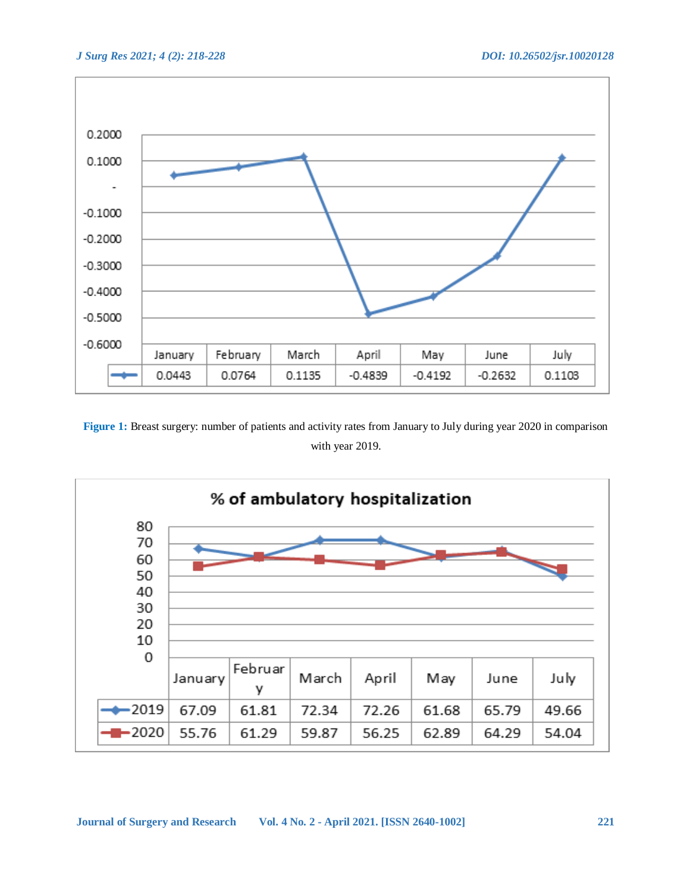

**Figure 1:** Breast surgery: number of patients and activity rates from January to July during year 2020 in comparison with year 2019.

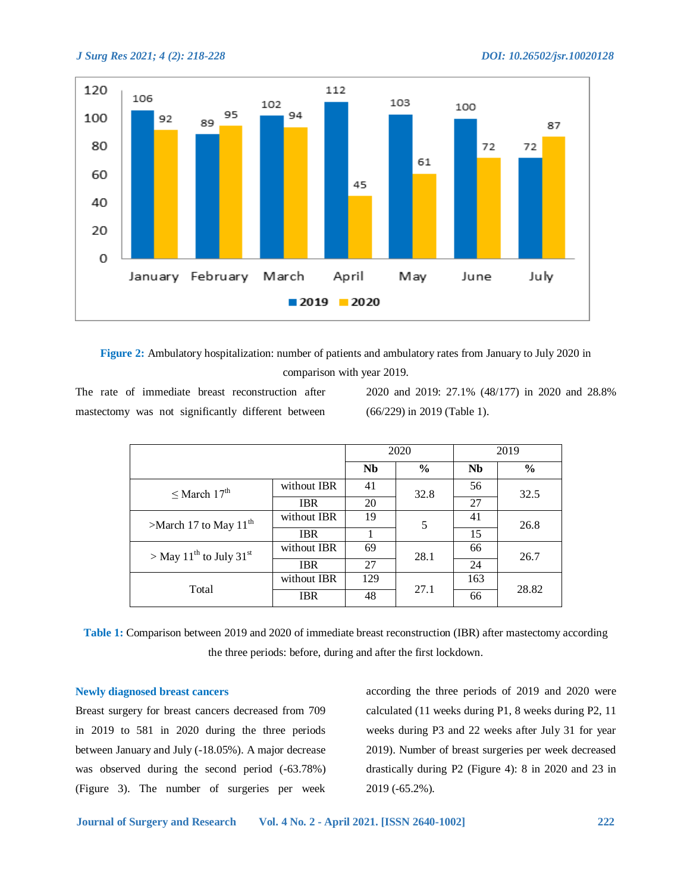

**Figure 2:** Ambulatory hospitalization: number of patients and ambulatory rates from January to July 2020 in comparison with year 2019.

The rate of immediate breast reconstruction after mastectomy was not significantly different between 2020 and 2019: 27.1% (48/177) in 2020 and 28.8% (66/229) in 2019 (Table 1).

|                                                 |             |           | 2020          | 2019      |               |  |  |
|-------------------------------------------------|-------------|-----------|---------------|-----------|---------------|--|--|
|                                                 |             | <b>Nb</b> | $\frac{6}{9}$ | <b>Nb</b> | $\frac{6}{9}$ |  |  |
| $\leq$ March 17 <sup>th</sup>                   | without IBR | 41        | 32.8          | 56        | 32.5          |  |  |
|                                                 | <b>IBR</b>  | 20        |               | 27        |               |  |  |
| >March 17 to May $11^{th}$                      | without IBR | 19        | 5             | 41        | 26.8          |  |  |
|                                                 | <b>IBR</b>  |           |               | 15        |               |  |  |
| > May 11 <sup>th</sup> to July 31 <sup>st</sup> | without IBR | 69        | 28.1          | 66        | 26.7          |  |  |
|                                                 | <b>IBR</b>  | 27        |               | 24        |               |  |  |
| Total                                           | without IBR | 129       | 27.1          | 163       | 28.82         |  |  |
|                                                 | <b>IBR</b>  | 48        |               | 66        |               |  |  |

**Table 1:** Comparison between 2019 and 2020 of immediate breast reconstruction (IBR) after mastectomy according the three periods: before, during and after the first lockdown.

# **Newly diagnosed breast cancers**

Breast surgery for breast cancers decreased from 709 in 2019 to 581 in 2020 during the three periods between January and July (-18.05%). A major decrease was observed during the second period (-63.78%) (Figure 3). The number of surgeries per week

according the three periods of 2019 and 2020 were calculated (11 weeks during P1, 8 weeks during P2, 11 weeks during P3 and 22 weeks after July 31 for year 2019). Number of breast surgeries per week decreased drastically during P2 (Figure 4): 8 in 2020 and 23 in 2019 (-65.2%).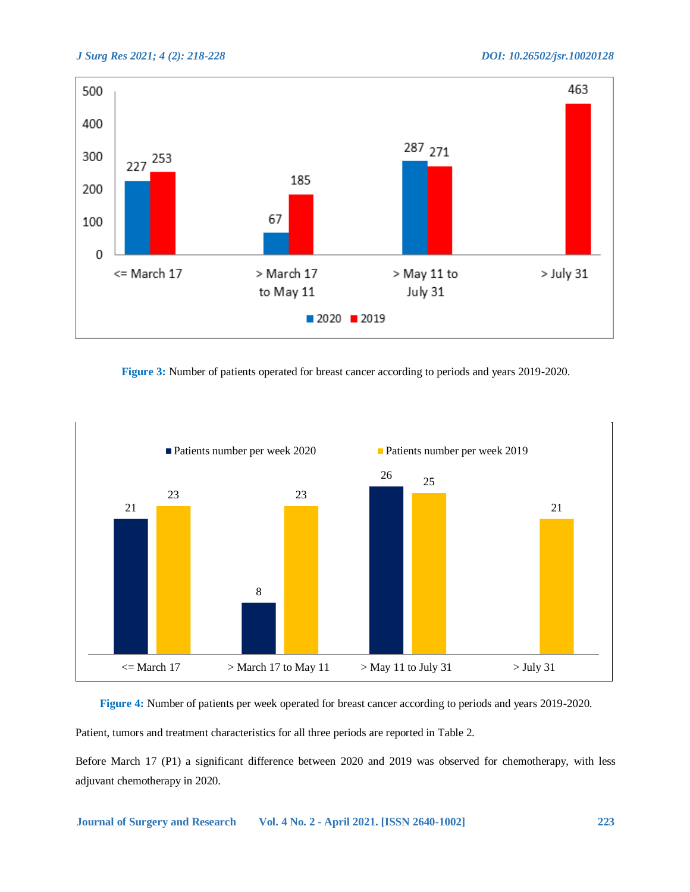

**Figure 3:** Number of patients operated for breast cancer according to periods and years 2019-2020.



# **Figure 4:** Number of patients per week operated for breast cancer according to periods and years 2019-2020.

Patient, tumors and treatment characteristics for all three periods are reported in Table 2.

Before March 17 (P1) a significant difference between 2020 and 2019 was observed for chemotherapy, with less adjuvant chemotherapy in 2020.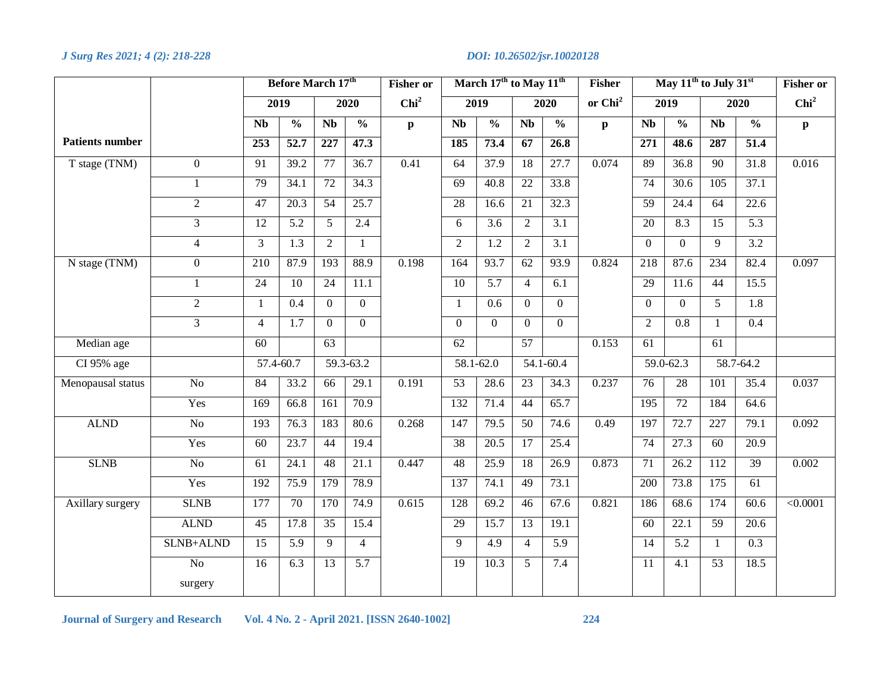|                        |                 | Before March 17 <sup>th</sup> |                   |                  | March 17 <sup>th</sup> to May 11 <sup>th</sup><br><b>Fisher or</b> |                  |                 |                |                 | <b>Fisher</b>           | May 11 <sup>th</sup> to July 31 <sup>st</sup> |                 |                   |                 | <b>Fisher or</b>  |                  |
|------------------------|-----------------|-------------------------------|-------------------|------------------|--------------------------------------------------------------------|------------------|-----------------|----------------|-----------------|-------------------------|-----------------------------------------------|-----------------|-------------------|-----------------|-------------------|------------------|
|                        |                 |                               | 2019              |                  | 2020                                                               | Chi <sup>2</sup> |                 | 2019           |                 | 2020                    | or Chi <sup>2</sup>                           | 2019            |                   | 2020            |                   | Chi <sup>2</sup> |
|                        |                 | <b>Nb</b>                     | $\frac{0}{0}$     | <b>Nb</b>        | $\frac{0}{6}$                                                      | $\mathbf{p}$     | $\mathbf{Nb}$   | $\frac{0}{0}$  | $\mathbf{Nb}$   | $\frac{0}{6}$           | $\mathbf{p}$                                  | <b>Nb</b>       | $\frac{0}{0}$     | <b>Nb</b>       | $\frac{0}{0}$     | $\mathbf{p}$     |
| <b>Patients number</b> |                 | $\overline{253}$              | $\overline{52.7}$ | $\overline{227}$ | 47.3                                                               |                  | 185             | 73.4           | 67              | 26.8                    |                                               | 271             | 48.6              | 287             | 51.4              |                  |
| T stage (TNM)          | $\overline{0}$  | 91                            | 39.2              | $\overline{77}$  | 36.7                                                               | 0.41             | 64              | 37.9           | 18              | 27.7                    | 0.074                                         | 89              | 36.8              | $\overline{90}$ | 31.8              | 0.016            |
|                        | $\mathbf{1}$    | 79                            | 34.1              | $\overline{72}$  | 34.3                                                               |                  | $\overline{69}$ | 40.8           | $\overline{22}$ | 33.8                    |                                               | 74              | 30.6              | 105             | 37.1              |                  |
|                        | $\overline{2}$  | 47                            | $\overline{20.3}$ | 54               | 25.7                                                               |                  | 28              | 16.6           | $\overline{21}$ | 32.3                    |                                               | 59              | 24.4              | 64              | $\overline{22.6}$ |                  |
|                        | 3               | 12                            | 5.2               | 5                | 2.4                                                                |                  | 6               | 3.6            | $\overline{2}$  | 3.1                     |                                               | 20              | 8.3               | 15              | 5.3               |                  |
|                        | $\overline{4}$  | $\overline{3}$                | 1.3               | $\overline{2}$   | 1                                                                  |                  | $\overline{2}$  | 1.2            | 2               | 3.1                     |                                               | $\Omega$        | $\mathbf{0}$      | 9               | 3.2               |                  |
| N stage (TNM)          | $\overline{0}$  | 210                           | 87.9              | 193              | 88.9                                                               | 0.198            | 164             | 93.7           | 62              | 93.9                    | 0.824                                         | 218             | 87.6              | 234             | 82.4              | 0.097            |
|                        | 1               | 24                            | 10                | 24               | 11.1                                                               |                  | 10              | 5.7            | $\overline{4}$  | 6.1                     |                                               | 29              | 11.6              | 44              | 15.5              |                  |
|                        | $\overline{2}$  | $\mathbf{1}$                  | 0.4               | $\boldsymbol{0}$ | $\boldsymbol{0}$                                                   |                  | 1               | 0.6            | $\overline{0}$  | $\mathbf{0}$            |                                               | $\Omega$        | $\mathbf{0}$      | 5               | 1.8               |                  |
|                        | $\overline{3}$  | $\overline{4}$                | $\overline{1.7}$  | $\overline{0}$   | $\overline{0}$                                                     |                  | $\overline{0}$  | $\overline{0}$ | $\overline{0}$  | $\overline{0}$          |                                               | $\overline{2}$  | 0.8               | $\mathbf{1}$    | $\overline{0.4}$  |                  |
| Median age             |                 | $\overline{60}$               |                   | 63               |                                                                    |                  | 62              |                | 57              |                         | 0.153                                         | $\overline{61}$ |                   | $\overline{61}$ |                   |                  |
| CI 95% age             |                 | 57.4-60.7                     |                   | $59.3 - 63.2$    |                                                                    |                  | 58.1-62.0       |                |                 | $\overline{54.1}$ -60.4 |                                               | $59.0 - 62.3$   |                   | 58.7-64.2       |                   |                  |
| Menopausal status      | N <sub>o</sub>  | 84                            | 33.2              | 66               | 29.1                                                               | 0.191            | $\overline{53}$ | 28.6           | $\overline{23}$ | 34.3                    | 0.237                                         | $\overline{76}$ | $\overline{28}$   | 101             | 35.4              | 0.037            |
|                        | Yes             | 169                           | 66.8              | 161              | 70.9                                                               |                  | 132             | 71.4           | 44              | 65.7                    |                                               | 195             | 72                | 184             | 64.6              |                  |
| <b>ALND</b>            | $\overline{No}$ | 193                           | 76.3              | 183              | 80.6                                                               | 0.268            | 147             | 79.5           | 50              | $\overline{7}4.6$       | 0.49                                          | 197             | 72.7              | 227             | 79.1              | 0.092            |
|                        | Yes             | 60                            | 23.7              | 44               | 19.4                                                               |                  | $\overline{38}$ | 20.5           | 17              | 25.4                    |                                               | $\overline{74}$ | 27.3              | 60              | 20.9              |                  |
| <b>SLNB</b>            | $\rm No$        | 61                            | 24.1              | 48               | 21.1                                                               | 0.447            | 48              | 25.9           | 18              | 26.9                    | 0.873                                         | 71              | 26.2              | 112             | 39                | 0.002            |
|                        | Yes             | 192                           | 75.9              | 179              | 78.9                                                               |                  | 137             | 74.1           | 49              | 73.1                    |                                               | 200             | 73.8              | 175             | 61                |                  |
| Axillary surgery       | <b>SLNB</b>     | 177                           | 70                | 170              | 74.9                                                               | 0.615            | 128             | 69.2           | 46              | 67.6                    | 0.821                                         | 186             | 68.6              | 174             | 60.6              | $\sqrt{0.0001}$  |
|                        | <b>ALND</b>     | $\overline{45}$               | 17.8              | 35               | 15.4                                                               |                  | $\overline{29}$ | 15.7           | $\overline{13}$ | 19.1                    |                                               | 60              | $\overline{22.1}$ | $\overline{59}$ | $\overline{20.6}$ |                  |
|                        | SLNB+ALND       | $\overline{15}$               | 5.9               | $\overline{9}$   | $\overline{4}$                                                     |                  | 9               | 4.9            | $\overline{4}$  | 5.9                     |                                               | $\overline{14}$ | 5.2               | $\mathbf{1}$    | $\overline{0.3}$  |                  |
|                        | N <sub>o</sub>  | 16                            | 6.3               | 13               | 5.7                                                                |                  | 19              | 10.3           | 5               | 7.4                     |                                               | 11              | 4.1               | 53              | 18.5              |                  |
|                        | surgery         |                               |                   |                  |                                                                    |                  |                 |                |                 |                         |                                               |                 |                   |                 |                   |                  |

**Journal of Surgery and Research Vol. 4 No. 2 - April 2021. [ISSN 2640-1002] 224**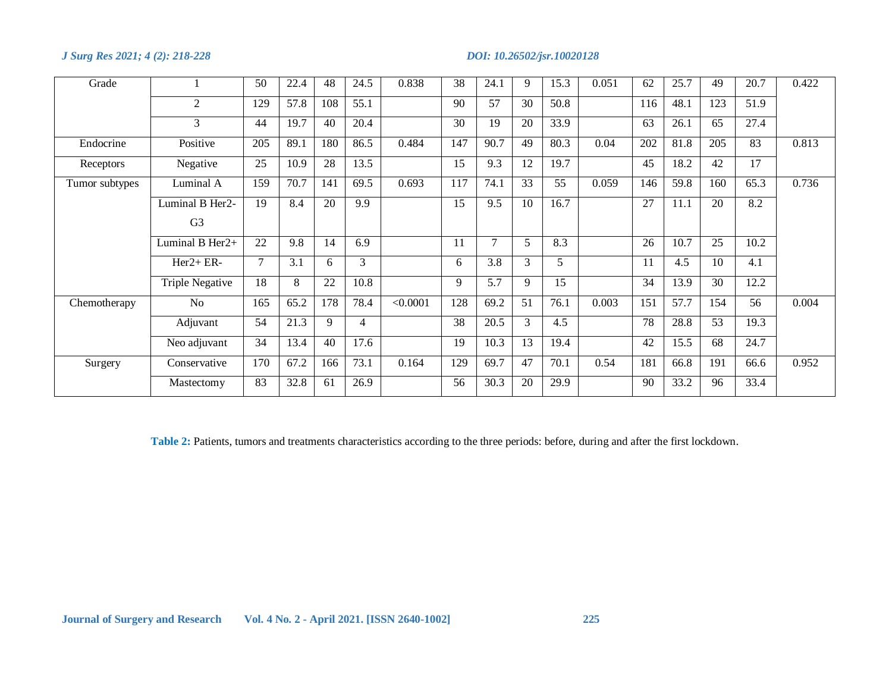| Grade          |                 | 50  | 22.4 | 48               | 24.5 | 0.838    | 38  | 24.1   | 9  | 15.3 | 0.051 | 62  | 25.7 | 49  | 20.7 | 0.422 |
|----------------|-----------------|-----|------|------------------|------|----------|-----|--------|----|------|-------|-----|------|-----|------|-------|
|                | 2               | 129 | 57.8 | 108              | 55.1 |          | 90  | 57     | 30 | 50.8 |       | 116 | 48.1 | 123 | 51.9 |       |
|                | 3               | 44  | 19.7 | 40               | 20.4 |          | 30  | 19     | 20 | 33.9 |       | 63  | 26.1 | 65  | 27.4 |       |
| Endocrine      | Positive        | 205 | 89.1 | 180              | 86.5 | 0.484    | 147 | 90.7   | 49 | 80.3 | 0.04  | 202 | 81.8 | 205 | 83   | 0.813 |
| Receptors      | Negative        | 25  | 10.9 | 28               | 13.5 |          | 15  | 9.3    | 12 | 19.7 |       | 45  | 18.2 | 42  | 17   |       |
| Tumor subtypes | Luminal A       | 159 | 70.7 | 141              | 69.5 | 0.693    | 117 | 74.1   | 33 | 55   | 0.059 | 146 | 59.8 | 160 | 65.3 | 0.736 |
|                | Luminal B Her2- | 19  | 8.4  | 20               | 9.9  |          | 15  | 9.5    | 10 | 16.7 |       | 27  | 11.1 | 20  | 8.2  |       |
|                | G <sub>3</sub>  |     |      |                  |      |          |     |        |    |      |       |     |      |     |      |       |
|                | Luminal B Her2+ | 22  | 9.8  | 14               | 6.9  |          | 11  | $\tau$ | 5  | 8.3  |       | 26  | 10.7 | 25  | 10.2 |       |
|                | $Her2 + ER-$    | 7   | 3.1  | 6                | 3    |          | 6   | 3.8    | 3  | 5    |       | 11  | 4.5  | 10  | 4.1  |       |
|                | Triple Negative | 18  | 8    | 22               | 10.8 |          | 9   | 5.7    | 9  | 15   |       | 34  | 13.9 | 30  | 12.2 |       |
| Chemotherapy   | No              | 165 | 65.2 | $\overline{178}$ | 78.4 | < 0.0001 | 128 | 69.2   | 51 | 76.1 | 0.003 | 151 | 57.7 | 154 | 56   | 0.004 |
|                | Adjuvant        | 54  | 21.3 | 9                | 4    |          | 38  | 20.5   | 3  | 4.5  |       | 78  | 28.8 | 53  | 19.3 |       |
|                | Neo adjuvant    | 34  | 13.4 | 40               | 17.6 |          | 19  | 10.3   | 13 | 19.4 |       | 42  | 15.5 | 68  | 24.7 |       |
| Surgery        | Conservative    | 170 | 67.2 | 166              | 73.1 | 0.164    | 129 | 69.7   | 47 | 70.1 | 0.54  | 181 | 66.8 | 191 | 66.6 | 0.952 |
|                | Mastectomy      | 83  | 32.8 | 61               | 26.9 |          | 56  | 30.3   | 20 | 29.9 |       | 90  | 33.2 | 96  | 33.4 |       |

**Table 2:** Patients, tumors and treatments characteristics according to the three periods: before, during and after the first lockdown.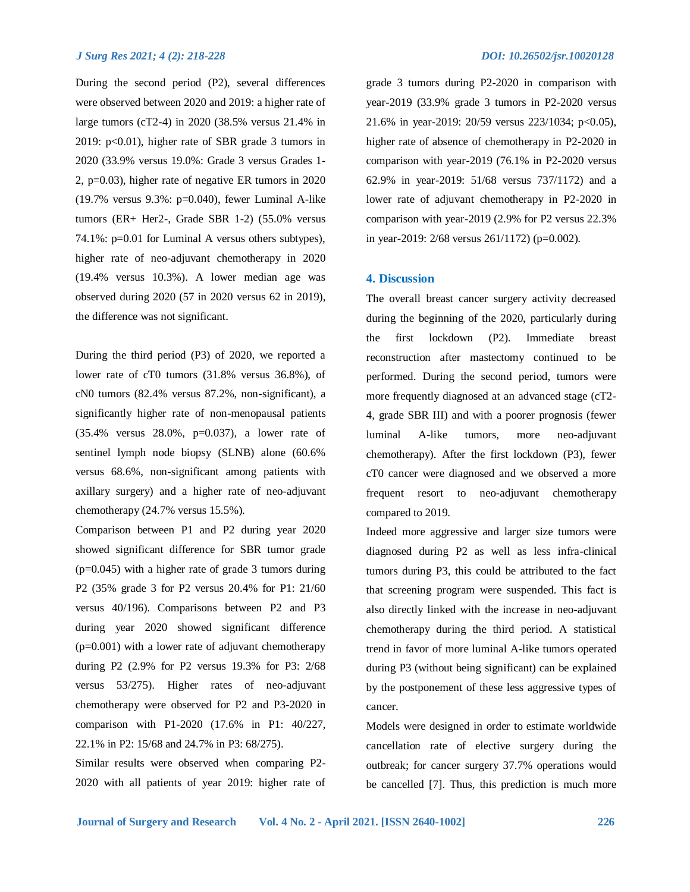During the second period (P2), several differences were observed between 2020 and 2019: a higher rate of large tumors (cT2-4) in 2020 (38.5% versus 21.4% in 2019: p<0.01), higher rate of SBR grade 3 tumors in 2020 (33.9% versus 19.0%: Grade 3 versus Grades 1- 2, p=0.03), higher rate of negative ER tumors in 2020 (19.7% versus 9.3%: p=0.040), fewer Luminal A-like tumors (ER+ Her2-, Grade SBR 1-2) (55.0% versus 74.1%: p=0.01 for Luminal A versus others subtypes), higher rate of neo-adjuvant chemotherapy in 2020 (19.4% versus 10.3%). A lower median age was observed during 2020 (57 in 2020 versus 62 in 2019), the difference was not significant.

During the third period (P3) of 2020, we reported a lower rate of cT0 tumors (31.8% versus 36.8%), of cN0 tumors (82.4% versus 87.2%, non-significant), a significantly higher rate of non-menopausal patients (35.4% versus 28.0%, p=0.037), a lower rate of sentinel lymph node biopsy (SLNB) alone (60.6% versus 68.6%, non-significant among patients with axillary surgery) and a higher rate of neo-adjuvant chemotherapy (24.7% versus 15.5%).

Comparison between P1 and P2 during year 2020 showed significant difference for SBR tumor grade (p=0.045) with a higher rate of grade 3 tumors during P2 (35% grade 3 for P2 versus 20.4% for P1: 21/60 versus 40/196). Comparisons between P2 and P3 during year 2020 showed significant difference (p=0.001) with a lower rate of adjuvant chemotherapy during P2 (2.9% for P2 versus 19.3% for P3: 2/68 versus 53/275). Higher rates of neo-adjuvant chemotherapy were observed for P2 and P3-2020 in comparison with P1-2020 (17.6% in P1: 40/227, 22.1% in P2: 15/68 and 24.7% in P3: 68/275).

Similar results were observed when comparing P2- 2020 with all patients of year 2019: higher rate of grade 3 tumors during P2-2020 in comparison with year-2019 (33.9% grade 3 tumors in P2-2020 versus 21.6% in year-2019: 20/59 versus 223/1034; p<0.05), higher rate of absence of chemotherapy in P2-2020 in comparison with year-2019 (76.1% in P2-2020 versus 62.9% in year-2019: 51/68 versus 737/1172) and a lower rate of adjuvant chemotherapy in P2-2020 in comparison with year-2019 (2.9% for P2 versus 22.3% in year-2019: 2/68 versus 261/1172) (p=0.002).

# **4. Discussion**

The overall breast cancer surgery activity decreased during the beginning of the 2020, particularly during the first lockdown (P2). Immediate breast reconstruction after mastectomy continued to be performed. During the second period, tumors were more frequently diagnosed at an advanced stage (cT2- 4, grade SBR III) and with a poorer prognosis (fewer luminal A-like tumors, more neo-adjuvant chemotherapy). After the first lockdown (P3), fewer cT0 cancer were diagnosed and we observed a more frequent resort to neo-adjuvant chemotherapy compared to 2019.

Indeed more aggressive and larger size tumors were diagnosed during P2 as well as less infra-clinical tumors during P3, this could be attributed to the fact that screening program were suspended. This fact is also directly linked with the increase in neo-adjuvant chemotherapy during the third period. A statistical trend in favor of more luminal A-like tumors operated during P3 (without being significant) can be explained by the postponement of these less aggressive types of cancer.

Models were designed in order to estimate worldwide cancellation rate of elective surgery during the outbreak; for cancer surgery 37.7% operations would be cancelled [7]. Thus, this prediction is much more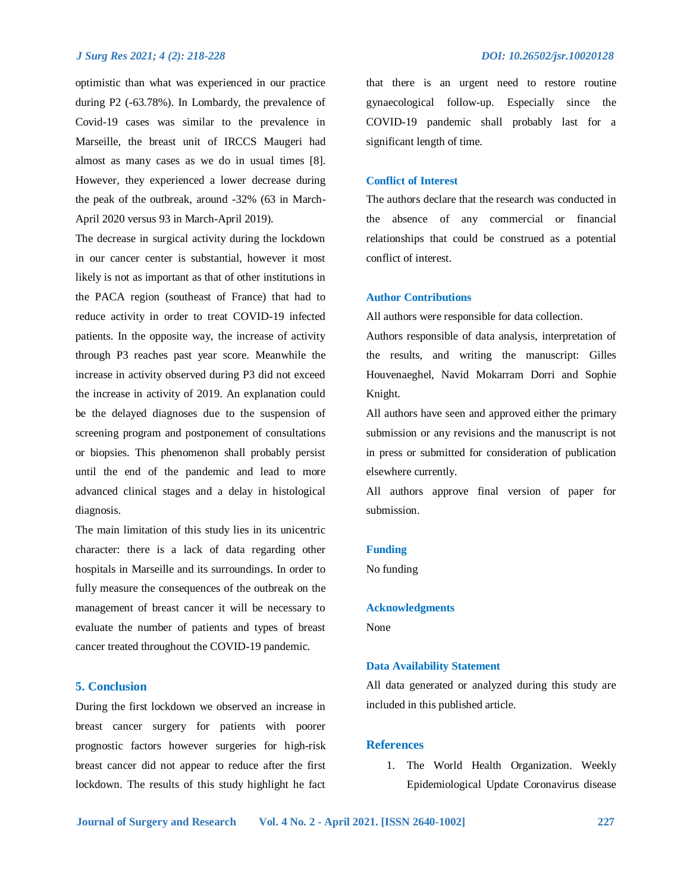optimistic than what was experienced in our practice during P2 (-63.78%). In Lombardy, the prevalence of Covid-19 cases was similar to the prevalence in Marseille, the breast unit of IRCCS Maugeri had almost as many cases as we do in usual times [8]. However, they experienced a lower decrease during the peak of the outbreak, around -32% (63 in March-April 2020 versus 93 in March-April 2019).

The decrease in surgical activity during the lockdown in our cancer center is substantial, however it most likely is not as important as that of other institutions in the PACA region (southeast of France) that had to reduce activity in order to treat COVID-19 infected patients. In the opposite way, the increase of activity through P3 reaches past year score. Meanwhile the increase in activity observed during P3 did not exceed the increase in activity of 2019. An explanation could be the delayed diagnoses due to the suspension of screening program and postponement of consultations or biopsies. This phenomenon shall probably persist until the end of the pandemic and lead to more advanced clinical stages and a delay in histological diagnosis.

The main limitation of this study lies in its unicentric character: there is a lack of data regarding other hospitals in Marseille and its surroundings. In order to fully measure the consequences of the outbreak on the management of breast cancer it will be necessary to evaluate the number of patients and types of breast cancer treated throughout the COVID-19 pandemic.

# **5. Conclusion**

During the first lockdown we observed an increase in breast cancer surgery for patients with poorer prognostic factors however surgeries for high-risk breast cancer did not appear to reduce after the first lockdown. The results of this study highlight he fact

that there is an urgent need to restore routine gynaecological follow-up. Especially since the COVID-19 pandemic shall probably last for a significant length of time.

# **Conflict of Interest**

The authors declare that the research was conducted in the absence of any commercial or financial relationships that could be construed as a potential conflict of interest.

# **Author Contributions**

All authors were responsible for data collection.

Authors responsible of data analysis, interpretation of the results, and writing the manuscript: Gilles Houvenaeghel, Navid Mokarram Dorri and Sophie Knight.

All authors have seen and approved either the primary submission or any revisions and the manuscript is not in press or submitted for consideration of publication elsewhere currently.

All authors approve final version of paper for submission.

#### **Funding**

No funding

# **Acknowledgments**

None

### **Data Availability Statement**

All data generated or analyzed during this study are included in this published article.

# **References**

1. The World Health Organization. Weekly Epidemiological Update Coronavirus disease